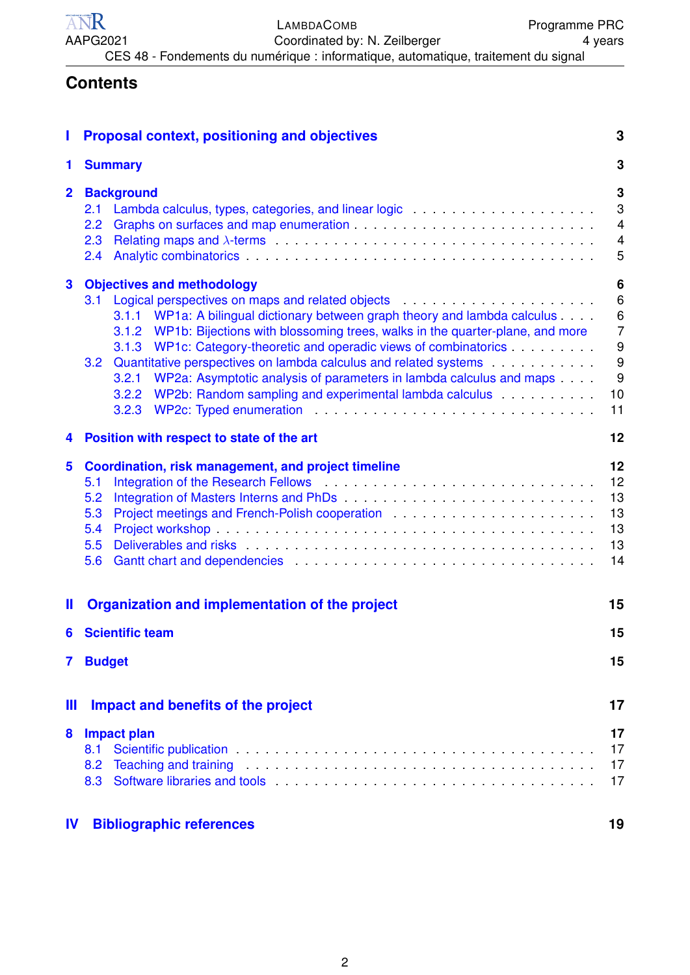<span id="page-0-0"></span>

| ANR      | LAMBDACOMB                                                                         | <b>Programme PRC</b> |
|----------|------------------------------------------------------------------------------------|----------------------|
| AAPG2021 | Coordinated by: N. Zeilberger                                                      | 4 years              |
|          | CES 48 - Fondements du numérique : informatique, automatique, traitement du signal |                      |

## **Contents**

| П              | <b>Proposal context, positioning and objectives</b>                                                                                                                                                                                                                                                                                                                                                                                                                                                                                                                                                                                                                                                                                                                                                                                | 3                                                              |  |
|----------------|------------------------------------------------------------------------------------------------------------------------------------------------------------------------------------------------------------------------------------------------------------------------------------------------------------------------------------------------------------------------------------------------------------------------------------------------------------------------------------------------------------------------------------------------------------------------------------------------------------------------------------------------------------------------------------------------------------------------------------------------------------------------------------------------------------------------------------|----------------------------------------------------------------|--|
| 1              | <b>Summary</b>                                                                                                                                                                                                                                                                                                                                                                                                                                                                                                                                                                                                                                                                                                                                                                                                                     | 3                                                              |  |
| $\mathbf{2}$   | <b>Background</b><br>2.1<br>2.2<br>2.3<br>Analytic combinatorics entertainment and the component of the contract of the component of the contract of the contract of the contract of the contract of the contract of the contract of the contract of the contract of the<br>2.4                                                                                                                                                                                                                                                                                                                                                                                                                                                                                                                                                    |                                                                |  |
| 3              | <b>Objectives and methodology</b><br>3.1<br>WP1a: A bilingual dictionary between graph theory and lambda calculus<br>3.1.1<br>WP1b: Bijections with blossoming trees, walks in the quarter-plane, and more<br>3.1.2<br>WP1c: Category-theoretic and operadic views of combinatorics<br>3.1.3<br>Quantitative perspectives on lambda calculus and related systems<br>3.2<br>WP2a: Asymptotic analysis of parameters in lambda calculus and maps<br>3.2.1<br>WP2b: Random sampling and experimental lambda calculus <b>WP2b:</b> Random sampling and experimental lambda calculus<br>3.2.2<br>WP2c: Typed enumeration entertainment and the contract of the contract of the contract of the contract of the contract of the contract of the contract of the contract of the contract of the contract of the contract of the<br>3.2.3 | 6<br>$\,6\,$<br>6<br>$\overline{7}$<br>9<br>9<br>9<br>10<br>11 |  |
| 4              | Position with respect to state of the art                                                                                                                                                                                                                                                                                                                                                                                                                                                                                                                                                                                                                                                                                                                                                                                          | 12                                                             |  |
| $5\phantom{a}$ | Coordination, risk management, and project timeline<br>Integration of the Research Fellows Material Account of the Research Fellows Material Account of the Research<br>5.1<br>5.2<br>5.3<br>5.4<br>5.5<br>5.6                                                                                                                                                                                                                                                                                                                                                                                                                                                                                                                                                                                                                     | 12<br>12<br>13<br>13<br>13<br>13<br>14                         |  |
| Ш              | Organization and implementation of the project                                                                                                                                                                                                                                                                                                                                                                                                                                                                                                                                                                                                                                                                                                                                                                                     | 15                                                             |  |
| 6              | <b>Scientific team</b>                                                                                                                                                                                                                                                                                                                                                                                                                                                                                                                                                                                                                                                                                                                                                                                                             | 15                                                             |  |
| 7              | <b>Budget</b>                                                                                                                                                                                                                                                                                                                                                                                                                                                                                                                                                                                                                                                                                                                                                                                                                      | 15                                                             |  |
| Ш              | Impact and benefits of the project                                                                                                                                                                                                                                                                                                                                                                                                                                                                                                                                                                                                                                                                                                                                                                                                 | 17                                                             |  |
| 8              | <b>Impact plan</b><br>Scientific publication entertainment of the contract of the contract of the contract of the contract of the contract of the contract of the contract of the contract of the contract of the contract of the contract of the co<br>8.1<br>Teaching and training enterprise to the contract of the contract of the contract of the contract of the contract of the contract of the contract of the contract of the contract of the contract of the contract of the contra<br>8.2<br>Software libraries and tools enter the state of the state of the state of the state of the state of the state of the state of the state of the state of the state of the state of the state of the state of the state of the s<br>8.3                                                                                      | 17<br>17<br>17<br>17                                           |  |
| <b>IV</b>      | <b>Bibliographic references</b>                                                                                                                                                                                                                                                                                                                                                                                                                                                                                                                                                                                                                                                                                                                                                                                                    | 19                                                             |  |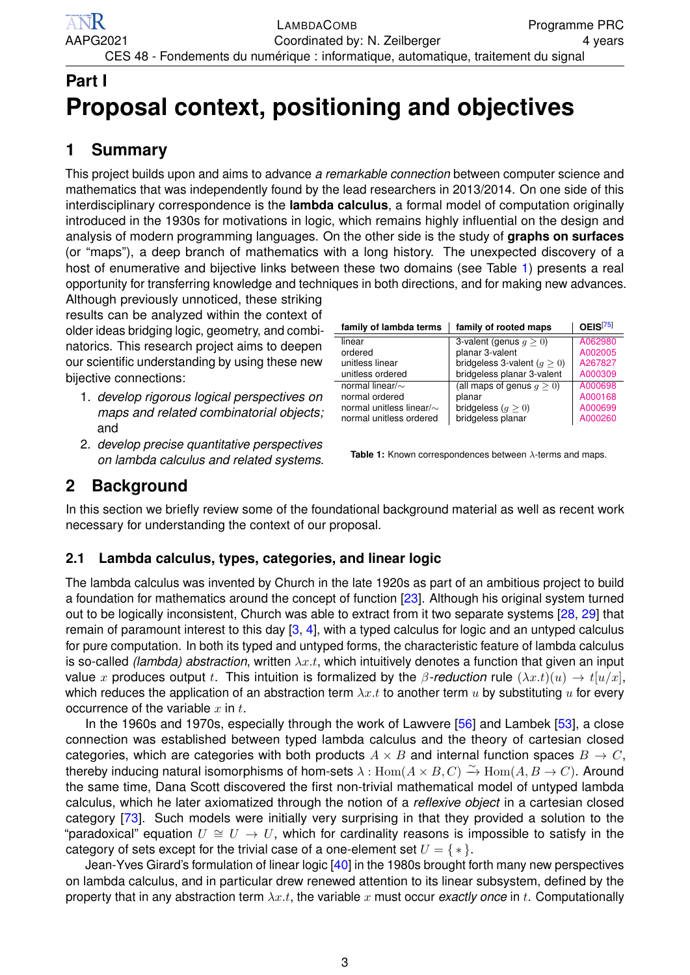# <span id="page-1-0"></span>**Part I Proposal context, positioning and objectives**

## <span id="page-1-1"></span>**1 Summary**

This project builds upon and aims to advance *a remarkable connection* between computer science and mathematics that was independently found by the lead researchers in 2013/2014. On one side of this interdisciplinary correspondence is the **lambda calculus**, a formal model of computation originally introduced in the 1930s for motivations in logic, which remains highly influential on the design and analysis of modern programming languages. On the other side is the study of **graphs on surfaces** (or "maps"), a deep branch of mathematics with a long history. The unexpected discovery of a host of enumerative and bijective links between these two domains (see Table [1\)](#page-1-4) presents a real opportunity for transferring knowledge and techniques in both directions, and for making new advances.

Although previously unnoticed, these striking results can be analyzed within the context of older ideas bridging logic, geometry, and combi-  $\equiv$ natorics. This research project aims to deepen our scientific understanding by using these new bijective connections:

- 1. *develop rigorous logical perspectives on maps and related combinatorial objects;* and
- 2. *develop precise quantitative perspectives on lambda calculus and related systems.*

<span id="page-1-4"></span>

| family of lambda terms         | family of rooted maps         | OEIS <sup>[75]</sup> |
|--------------------------------|-------------------------------|----------------------|
| linear                         | 3-valent (genus $q > 0$ )     | A062980              |
| ordered                        | planar 3-valent               | A002005              |
| unitless linear                | bridgeless 3-valent $(q > 0)$ | A267827              |
| unitless ordered               | bridgeless planar 3-valent    | A000309              |
| normal linear/ $\sim$          | (all maps of genus $q > 0$ )  | A000698              |
| normal ordered                 | planar                        | A000168              |
| normal unitless linear/ $\sim$ | bridgeless $(q \geq 0)$       | A000699              |
| normal unitless ordered        | bridgeless planar             | A000260              |

**Table 1:** Known correspondences between λ-terms and maps.

## <span id="page-1-2"></span>**2 Background**

In this section we briefly review some of the foundational background material as well as recent work necessary for understanding the context of our proposal.

## <span id="page-1-3"></span>**2.1 Lambda calculus, types, categories, and linear logic**

The lambda calculus was invented by Church in the late 1920s as part of an ambitious project to build a foundation for mathematics around the concept of function [\[23\]](#page-10-1). Although his original system turned out to be logically inconsistent, Church was able to extract from it two separate systems [\[28,](#page-10-2) [29\]](#page-10-3) that remain of paramount interest to this day  $[3, 4]$  $[3, 4]$  $[3, 4]$ , with a typed calculus for logic and an untyped calculus for pure computation. In both its typed and untyped forms, the characteristic feature of lambda calculus is so-called *(lambda) abstraction*, written  $\lambda x.t$ , which intuitively denotes a function that given an input value x produces output t. This intuition is formalized by the  $\beta$ -reduction rule  $(\lambda x.t)(u) \to t[u/x]$ , which reduces the application of an abstraction term  $\lambda x.t$  to another term u by substituting u for every occurrence of the variable  $x$  in  $t$ .

In the 1960s and 1970s, especially through the work of Lawvere [\[56\]](#page-11-1) and Lambek [\[53\]](#page-11-2), a close connection was established between typed lambda calculus and the theory of cartesian closed categories, which are categories with both products  $A \times B$  and internal function spaces  $B \to C$ , thereby inducing natural isomorphisms of hom-sets  $\lambda : \text{Hom}(A \times B, C) \xrightarrow{\sim} \text{Hom}(A, B \to C)$ . Around the same time, Dana Scott discovered the first non-trivial mathematical model of untyped lambda calculus, which he later axiomatized through the notion of a *reflexive object* in a cartesian closed category [\[73\]](#page-11-3). Such models were initially very surprising in that they provided a solution to the "paradoxical" equation  $U \cong U \to U$ , which for cardinality reasons is impossible to satisfy in the category of sets except for the trivial case of a one-element set  $U = \{ * \}.$ 

Jean-Yves Girard's formulation of linear logic [\[40\]](#page-11-4) in the 1980s brought forth many new perspectives on lambda calculus, and in particular drew renewed attention to its linear subsystem, defined by the property that in any abstraction term  $\lambda x.t$ , the variable x must occur *exactly once* in t. Computationally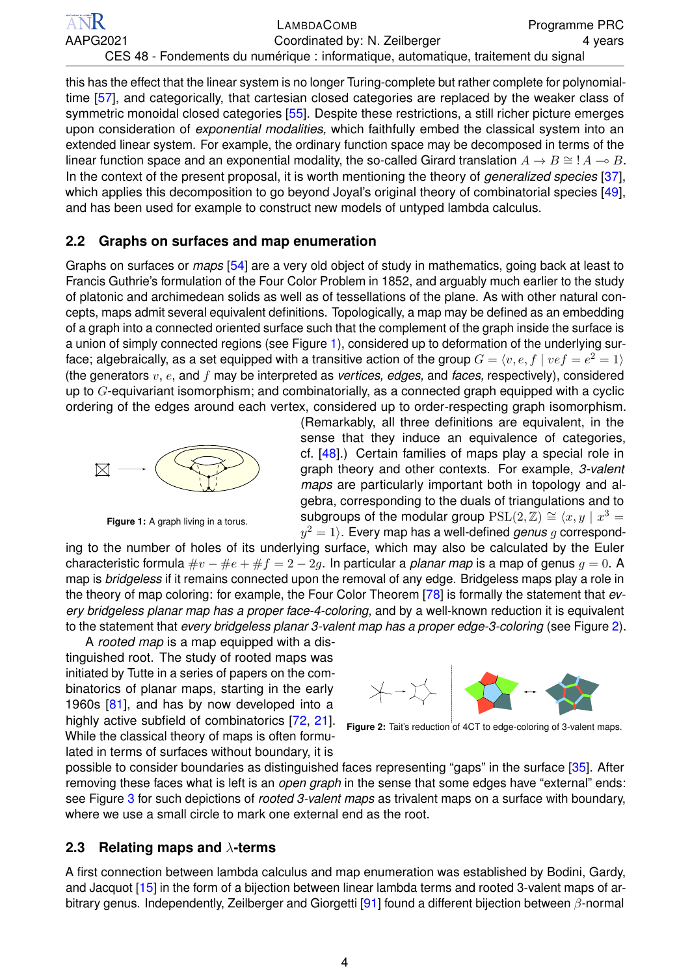this has the effect that the linear system is no longer Turing-complete but rather complete for polynomial-time [\[57\]](#page-11-5), and categorically, that cartesian closed categories are replaced by the weaker class of symmetric monoidal closed categories [\[55\]](#page-11-6). Despite these restrictions, a still richer picture emerges upon consideration of *exponential modalities,* which faithfully embed the classical system into an extended linear system. For example, the ordinary function space may be decomposed in terms of the linear function space and an exponential modality, the so-called Girard translation  $A \to B \cong A \to B$ . In the context of the present proposal, it is worth mentioning the theory of *generalized species* [\[37\]](#page-10-6), which applies this decomposition to go beyond Joyal's original theory of combinatorial species [\[49\]](#page-11-7), and has been used for example to construct new models of untyped lambda calculus.

### <span id="page-2-0"></span>**2.2 Graphs on surfaces and map enumeration**

Graphs on surfaces or *maps* [\[54\]](#page-11-8) are a very old object of study in mathematics, going back at least to Francis Guthrie's formulation of the Four Color Problem in 1852, and arguably much earlier to the study of platonic and archimedean solids as well as of tessellations of the plane. As with other natural concepts, maps admit several equivalent definitions. Topologically, a map may be defined as an embedding of a graph into a connected oriented surface such that the complement of the graph inside the surface is a union of simply connected regions (see Figure [1\)](#page-2-2), considered up to deformation of the underlying surface; algebraically, as a set equipped with a transitive action of the group  $G = \langle v, e, f \mid vef = e^2 = 1 \rangle$ (the generators v, e, and f may be interpreted as *vertices, edges,* and *faces,* respectively), considered up to  $G$ -equivariant isomorphism; and combinatorially, as a connected graph equipped with a cyclic ordering of the edges around each vertex, considered up to order-respecting graph isomorphism.

<span id="page-2-2"></span>

**Figure 1:** A graph living in a torus.

(Remarkably, all three definitions are equivalent, in the sense that they induce an equivalence of categories, cf. [\[48\]](#page-11-9).) Certain families of maps play a special role in graph theory and other contexts. For example, *3-valent maps* are particularly important both in topology and algebra, corresponding to the duals of triangulations and to subgroups of the modular group  $PSL(2, \mathbb{Z}) \cong \langle x, y \mid x^3 = \rangle$  $y^2 = 1$ ). Every map has a well-defined *genus*  $g$  correspond-

ing to the number of holes of its underlying surface, which may also be calculated by the Euler characteristic formula  $\#v - \#e + \#f = 2 - 2g$ . In particular a *planar map* is a map of genus  $g = 0$ . A map is *bridgeless* if it remains connected upon the removal of any edge. Bridgeless maps play a role in the theory of map coloring: for example, the Four Color Theorem [\[78\]](#page-11-10) is formally the statement that *every bridgeless planar map has a proper face-4-coloring,* and by a well-known reduction it is equivalent to the statement that *every bridgeless planar 3-valent map has a proper edge-3-coloring* (see Figure [2\)](#page-2-3).

A *rooted map* is a map equipped with a distinguished root. The study of rooted maps was initiated by Tutte in a series of papers on the combinatorics of planar maps, starting in the early 1960s [\[81\]](#page-11-11), and has by now developed into a highly active subfield of combinatorics [\[72,](#page-11-12) [21\]](#page-10-7). While the classical theory of maps is often formulated in terms of surfaces without boundary, it is

<span id="page-2-3"></span>

**Figure 2:** Tait's reduction of 4CT to edge-coloring of 3-valent maps.

possible to consider boundaries as distinguished faces representing "gaps" in the surface [\[35\]](#page-10-8). After removing these faces what is left is an *open graph* in the sense that some edges have "external" ends: see Figure [3](#page-3-1) for such depictions of *rooted 3-valent maps* as trivalent maps on a surface with boundary, where we use a small circle to mark one external end as the root.

### <span id="page-2-1"></span>**2.3 Relating maps and** λ**-terms**

A first connection between lambda calculus and map enumeration was established by Bodini, Gardy, and Jacquot [\[15\]](#page-10-9) in the form of a bijection between linear lambda terms and rooted 3-valent maps of arbitrary genus. Independently, Zeilberger and Giorgetti [\[91\]](#page-12-0) found a different bijection between β-normal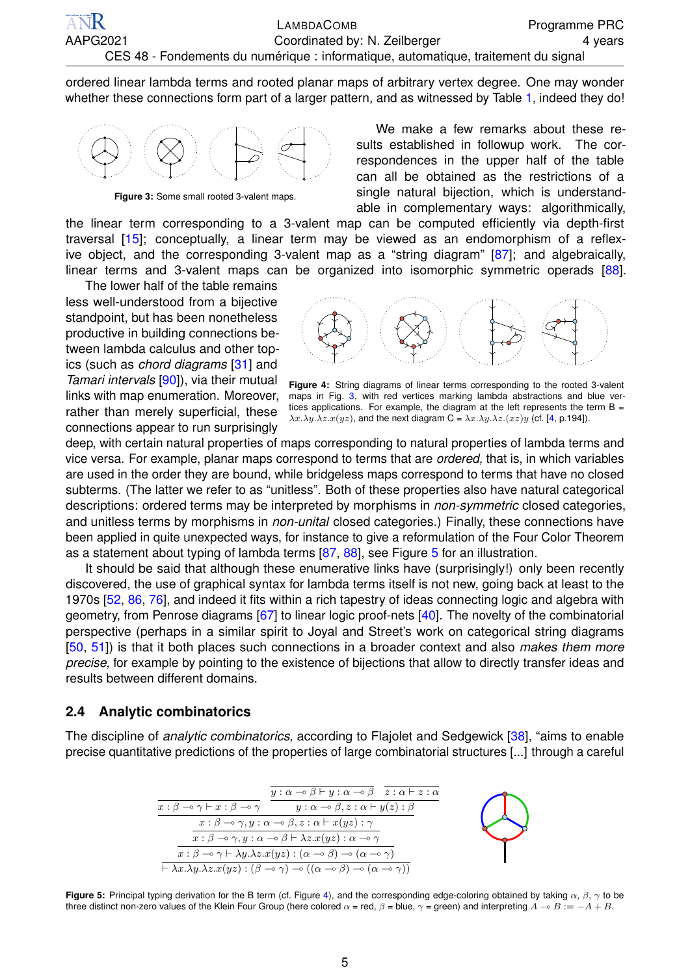ordered linear lambda terms and rooted planar maps of arbitrary vertex degree. One may wonder whether these connections form part of a larger pattern, and as witnessed by Table [1,](#page-1-4) indeed they do!

<span id="page-3-1"></span>

**Figure 3:** Some small rooted 3-valent maps.

We make a few remarks about these results established in followup work. The correspondences in the upper half of the table can all be obtained as the restrictions of a single natural bijection, which is understandable in complementary ways: algorithmically,

the linear term corresponding to a 3-valent map can be computed efficiently via depth-first traversal [\[15\]](#page-10-9); conceptually, a linear term may be viewed as an endomorphism of a reflexive object, and the corresponding 3-valent map as a "string diagram" [\[87\]](#page-11-13); and algebraically, linear terms and 3-valent maps can be organized into isomorphic symmetric operads [\[88\]](#page-12-1).

The lower half of the table remains less well-understood from a bijective standpoint, but has been nonetheless productive in building connections between lambda calculus and other topics (such as *chord diagrams* [\[31\]](#page-10-10) and *Tamari intervals* [\[90\]](#page-12-2)), via their mutual links with map enumeration. Moreover, rather than merely superficial, these connections appear to run surprisingly

<span id="page-3-3"></span>

**Figure 4:** String diagrams of linear terms corresponding to the rooted 3-valent maps in Fig. [3,](#page-3-1) with red vertices marking lambda abstractions and blue vertices applications. For example, the diagram at the left represents the term  $B =$  $\lambda x.\lambda y.\lambda z.x(yz)$ , and the next diagram C =  $\lambda x.\lambda y.\lambda z.(xz)y$  (cf. [\[4,](#page-10-5) p.194]).

deep, with certain natural properties of maps corresponding to natural properties of lambda terms and vice versa. For example, planar maps correspond to terms that are *ordered,* that is, in which variables are used in the order they are bound, while bridgeless maps correspond to terms that have no closed subterms. (The latter we refer to as "unitless". Both of these properties also have natural categorical descriptions: ordered terms may be interpreted by morphisms in *non-symmetric* closed categories, and unitless terms by morphisms in *non-unital* closed categories.) Finally, these connections have been applied in quite unexpected ways, for instance to give a reformulation of the Four Color Theorem as a statement about typing of lambda terms [\[87,](#page-11-13) [88\]](#page-12-1), see Figure [5](#page-3-2) for an illustration.

It should be said that although these enumerative links have (surprisingly!) only been recently discovered, the use of graphical syntax for lambda terms itself is not new, going back at least to the 1970s [\[52,](#page-11-14) [86,](#page-11-15) [76\]](#page-11-16), and indeed it fits within a rich tapestry of ideas connecting logic and algebra with geometry, from Penrose diagrams [\[67\]](#page-11-17) to linear logic proof-nets [\[40\]](#page-11-4). The novelty of the combinatorial perspective (perhaps in a similar spirit to Joyal and Street's work on categorical string diagrams [\[50,](#page-11-18) [51\]](#page-11-19)) is that it both places such connections in a broader context and also *makes them more precise,* for example by pointing to the existence of bijections that allow to directly transfer ideas and results between different domains.

#### <span id="page-3-0"></span>**2.4 Analytic combinatorics**

<span id="page-3-2"></span>The discipline of *analytic combinatorics,* according to Flajolet and Sedgewick [\[38\]](#page-10-11), "aims to enable precise quantitative predictions of the properties of large combinatorial structures [...] through a careful



**Figure 5:** Principal typing derivation for the B term (cf. Figure [4\)](#page-3-3), and the corresponding edge-coloring obtained by taking α, β, γ to be three distinct non-zero values of the Klein Four Group (here colored  $\alpha$  = red,  $\beta$  = blue,  $\gamma$  = green) and interpreting  $A \rightarrow B := -A + B$ .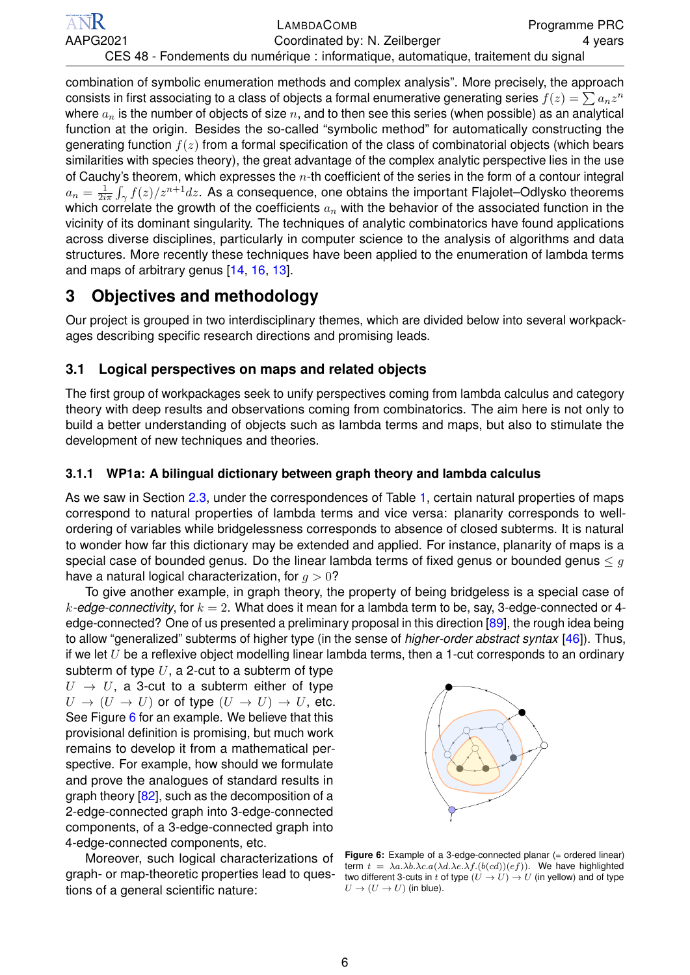combination of symbolic enumeration methods and complex analysis". More precisely, the approach consists in first associating to a class of objects a formal enumerative generating series  $f(z)=\sum a_nz^n$ where  $a_n$  is the number of objects of size n, and to then see this series (when possible) as an analytical function at the origin. Besides the so-called "symbolic method" for automatically constructing the generating function  $f(z)$  from a formal specification of the class of combinatorial objects (which bears similarities with species theory), the great advantage of the complex analytic perspective lies in the use of Cauchy's theorem, which expresses the  $n$ -th coefficient of the series in the form of a contour integral  $a_n = \frac{1}{2i}$  $\frac{1}{2i\pi}\int_{\gamma}f(z)/z^{n+1}dz.$  As a consequence, one obtains the important Flajolet–Odlysko theorems which correlate the growth of the coefficients  $a_n$  with the behavior of the associated function in the vicinity of its dominant singularity. The techniques of analytic combinatorics have found applications across diverse disciplines, particularly in computer science to the analysis of algorithms and data structures. More recently these techniques have been applied to the enumeration of lambda terms and maps of arbitrary genus [\[14,](#page-10-12) [16,](#page-10-13) [13\]](#page-10-14).

## <span id="page-4-0"></span>**3 Objectives and methodology**

Our project is grouped in two interdisciplinary themes, which are divided below into several workpackages describing specific research directions and promising leads.

### <span id="page-4-1"></span>**3.1 Logical perspectives on maps and related objects**

The first group of workpackages seek to unify perspectives coming from lambda calculus and category theory with deep results and observations coming from combinatorics. The aim here is not only to build a better understanding of objects such as lambda terms and maps, but also to stimulate the development of new techniques and theories.

### <span id="page-4-2"></span>**3.1.1 WP1a: A bilingual dictionary between graph theory and lambda calculus**

As we saw in Section [2.3,](#page-2-1) under the correspondences of Table [1,](#page-1-4) certain natural properties of maps correspond to natural properties of lambda terms and vice versa: planarity corresponds to wellordering of variables while bridgelessness corresponds to absence of closed subterms. It is natural to wonder how far this dictionary may be extended and applied. For instance, planarity of maps is a special case of bounded genus. Do the linear lambda terms of fixed genus or bounded genus  $\leq g$ have a natural logical characterization, for  $q > 0$ ?

To give another example, in graph theory, the property of being bridgeless is a special case of  $k$ -edge-connectivity, for  $k = 2$ . What does it mean for a lambda term to be, say, 3-edge-connected or 4edge-connected? One of us presented a preliminary proposal in this direction [\[89\]](#page-12-3), the rough idea being to allow "generalized" subterms of higher type (in the sense of *higher-order abstract syntax* [\[46\]](#page-11-20)). Thus, if we let  $U$  be a reflexive object modelling linear lambda terms, then a 1-cut corresponds to an ordinary

subterm of type  $U$ , a 2-cut to a subterm of type  $U \rightarrow U$ , a 3-cut to a subterm either of type  $U \to (U \to U)$  or of type  $(U \to U) \to U$ , etc. See Figure [6](#page-4-3) for an example. We believe that this provisional definition is promising, but much work remains to develop it from a mathematical perspective. For example, how should we formulate and prove the analogues of standard results in graph theory [\[82\]](#page-11-21), such as the decomposition of a 2-edge-connected graph into 3-edge-connected components, of a 3-edge-connected graph into 4-edge-connected components, etc.

Moreover, such logical characterizations of graph- or map-theoretic properties lead to questions of a general scientific nature:

<span id="page-4-3"></span>

**Figure 6:** Example of a 3-edge-connected planar (= ordered linear) term  $t = \lambda a.\lambda b.\lambda c.a(\lambda d.\lambda e.\lambda f.(b(cd))(ef)).$  We have highlighted two different 3-cuts in t of type  $(U \to U) \to U$  (in yellow) and of type  $U \rightarrow (U \rightarrow U)$  (in blue).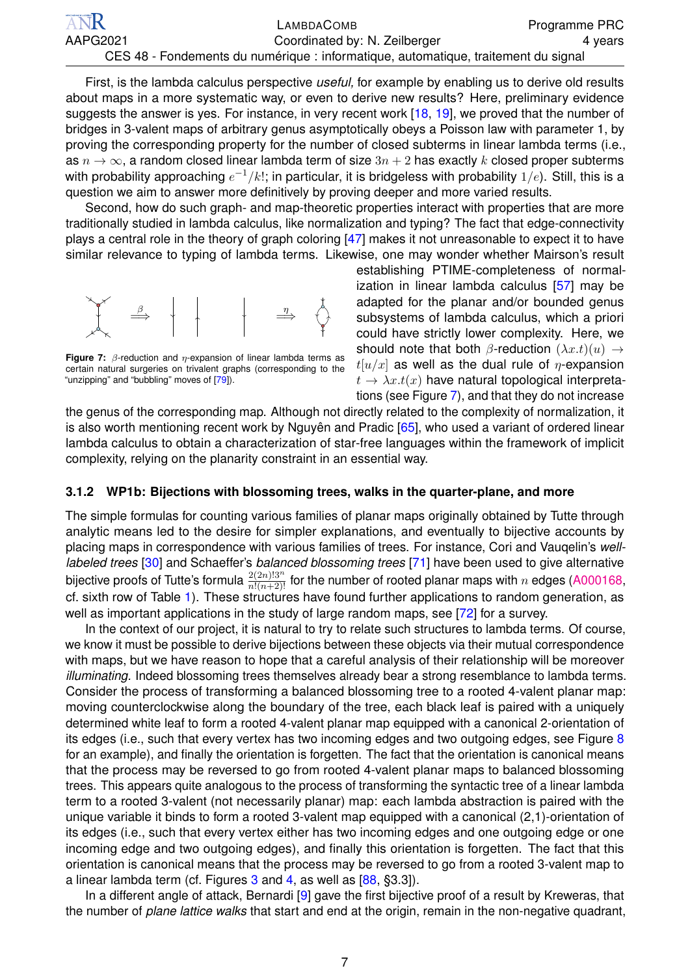| <b>ANR</b> | LAMBDACOMB                                                                         | <b>Programme PRC</b> |
|------------|------------------------------------------------------------------------------------|----------------------|
| AAPG2021   | Coordinated by: N. Zeilberger                                                      | 4 years              |
|            | CES 48 - Fondements du numérique : informatique, automatique, traitement du signal |                      |

First, is the lambda calculus perspective *useful,* for example by enabling us to derive old results about maps in a more systematic way, or even to derive new results? Here, preliminary evidence suggests the answer is yes. For instance, in very recent work [\[18,](#page-10-15) [19\]](#page-10-16), we proved that the number of bridges in 3-valent maps of arbitrary genus asymptotically obeys a Poisson law with parameter 1, by proving the corresponding property for the number of closed subterms in linear lambda terms (i.e., as  $n \to \infty$ , a random closed linear lambda term of size  $3n + 2$  has exactly k closed proper subterms with probability approaching  $e^{-1}/k!$ ; in particular, it is bridgeless with probability  $1/e$ ). Still, this is a question we aim to answer more definitively by proving deeper and more varied results.

Second, how do such graph- and map-theoretic properties interact with properties that are more traditionally studied in lambda calculus, like normalization and typing? The fact that edge-connectivity plays a central role in the theory of graph coloring [\[47\]](#page-11-22) makes it not unreasonable to expect it to have similar relevance to typing of lambda terms. Likewise, one may wonder whether Mairson's result

<span id="page-5-1"></span>

**Figure 7:**  $\beta$ -reduction and  $\eta$ -expansion of linear lambda terms as certain natural surgeries on trivalent graphs (corresponding to the "unzipping" and "bubbling" moves of [\[79\]](#page-11-23)).

establishing PTIME-completeness of normalization in linear lambda calculus [\[57\]](#page-11-5) may be adapted for the planar and/or bounded genus subsystems of lambda calculus, which a priori could have strictly lower complexity. Here, we should note that both  $\beta$ -reduction  $(\lambda x.t)(u) \rightarrow$  $t[u/x]$  as well as the dual rule of  $\eta$ -expansion  $t \to \lambda x.t(x)$  have natural topological interpretations (see Figure [7\)](#page-5-1), and that they do not increase

the genus of the corresponding map. Although not directly related to the complexity of normalization, it is also worth mentioning recent work by Nguyên and Pradic [\[65\]](#page-11-24), who used a variant of ordered linear lambda calculus to obtain a characterization of star-free languages within the framework of implicit complexity, relying on the planarity constraint in an essential way.

#### <span id="page-5-0"></span>**3.1.2 WP1b: Bijections with blossoming trees, walks in the quarter-plane, and more**

The simple formulas for counting various families of planar maps originally obtained by Tutte through analytic means led to the desire for simpler explanations, and eventually to bijective accounts by placing maps in correspondence with various families of trees. For instance, Cori and Vauqelin's *welllabeled trees* [\[30\]](#page-10-17) and Schaeffer's *balanced blossoming trees* [\[71\]](#page-11-25) have been used to give alternative bijective proofs of Tutte's formula  $\frac{2(2n)!3^n}{n!(n+2)!}$  for the number of rooted planar maps with  $n$  edges [\(A000168,](https://oeis.org/A000168) cf. sixth row of Table [1\)](#page-1-4). These structures have found further applications to random generation, as well as important applications in the study of large random maps, see [\[72\]](#page-11-12) for a survey.

In the context of our project, it is natural to try to relate such structures to lambda terms. Of course, we know it must be possible to derive bijections between these objects via their mutual correspondence with maps, but we have reason to hope that a careful analysis of their relationship will be moreover *illuminating.* Indeed blossoming trees themselves already bear a strong resemblance to lambda terms. Consider the process of transforming a balanced blossoming tree to a rooted 4-valent planar map: moving counterclockwise along the boundary of the tree, each black leaf is paired with a uniquely determined white leaf to form a rooted 4-valent planar map equipped with a canonical 2-orientation of its edges (i.e., such that every vertex has two incoming edges and two outgoing edges, see Figure [8](#page-6-1) for an example), and finally the orientation is forgetten. The fact that the orientation is canonical means that the process may be reversed to go from rooted 4-valent planar maps to balanced blossoming trees. This appears quite analogous to the process of transforming the syntactic tree of a linear lambda term to a rooted 3-valent (not necessarily planar) map: each lambda abstraction is paired with the unique variable it binds to form a rooted 3-valent map equipped with a canonical (2,1)-orientation of its edges (i.e., such that every vertex either has two incoming edges and one outgoing edge or one incoming edge and two outgoing edges), and finally this orientation is forgetten. The fact that this orientation is canonical means that the process may be reversed to go from a rooted 3-valent map to a linear lambda term (cf. Figures  $3$  and  $4$ , as well as  $[88, §3.3]$  $[88, §3.3]$ ).

In a different angle of attack, Bernardi [\[9\]](#page-10-18) gave the first bijective proof of a result by Kreweras, that the number of *plane lattice walks* that start and end at the origin, remain in the non-negative quadrant,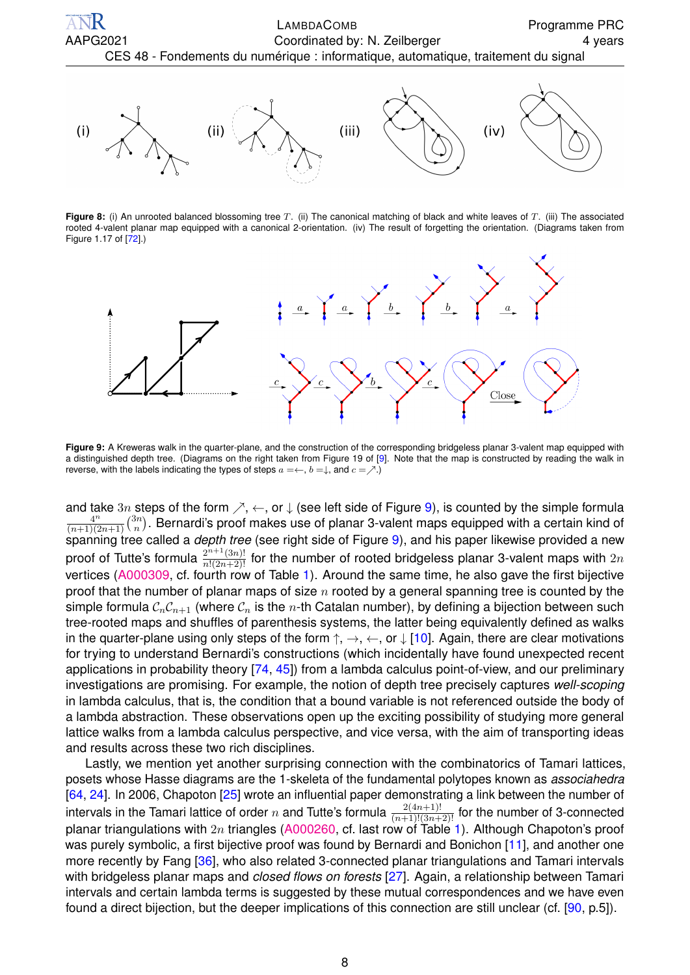<span id="page-6-1"></span>

**Figure 8:** (i) An unrooted balanced blossoming tree T. (ii) The canonical matching of black and white leaves of T. (iii) The associated rooted 4-valent planar map equipped with a canonical 2-orientation. (iv) The result of forgetting the orientation. (Diagrams taken from Figure 1.17 of [\[72\]](#page-11-12).)

<span id="page-6-2"></span>

**Figure 9:** A Kreweras walk in the quarter-plane, and the construction of the corresponding bridgeless planar 3-valent map equipped with a distinguished depth tree. (Diagrams on the right taken from Figure 19 of [\[9\]](#page-10-18). Note that the map is constructed by reading the walk in reverse, with the labels indicating the types of steps  $a = \leftarrow, b = \downarrow$ , and  $c = \nearrow$ .)

and take 3n steps of the form  $\nearrow$ ,  $\leftarrow$ , or  $\downarrow$  (see left side of Figure [9\)](#page-6-2), is counted by the simple formula  $4^n$  $\frac{4^n}{(n+1)(2n+1)}\binom{3n}{n}$  $\binom{3n}{n}$ . Bernardi's proof makes use of planar 3-valent maps equipped with a certain kind of spanning tree called a *depth tree* (see right side of Figure [9\)](#page-6-2), and his paper likewise provided a new proof of Tutte's formula  $\frac{2^{n+1}(3n)!}{n!(2n+2)!}$  for the number of rooted bridgeless planar 3-valent maps with  $2n$ vertices [\(A000309,](https://oeis.org/A000309) cf. fourth row of Table [1\)](#page-1-4). Around the same time, he also gave the first bijective proof that the number of planar maps of size  $n$  rooted by a general spanning tree is counted by the simple formula  $C_nC_{n+1}$  (where  $C_n$  is the n-th Catalan number), by defining a bijection between such tree-rooted maps and shuffles of parenthesis systems, the latter being equivalently defined as walks in the quarter-plane using only steps of the form  $\uparrow$ ,  $\rightarrow$ ,  $\leftarrow$ , or  $\downarrow$  [\[10\]](#page-10-19). Again, there are clear motivations for trying to understand Bernardi's constructions (which incidentally have found unexpected recent applications in probability theory [\[74,](#page-11-26) [45\]](#page-11-27)) from a lambda calculus point-of-view, and our preliminary investigations are promising. For example, the notion of depth tree precisely captures *well-scoping* in lambda calculus, that is, the condition that a bound variable is not referenced outside the body of a lambda abstraction. These observations open up the exciting possibility of studying more general lattice walks from a lambda calculus perspective, and vice versa, with the aim of transporting ideas and results across these two rich disciplines.

<span id="page-6-0"></span>Lastly, we mention yet another surprising connection with the combinatorics of Tamari lattices, posets whose Hasse diagrams are the 1-skeleta of the fundamental polytopes known as *associahedra* [\[64,](#page-11-28) [24\]](#page-10-20). In 2006, Chapoton [\[25\]](#page-10-21) wrote an influential paper demonstrating a link between the number of intervals in the Tamari lattice of order  $n$  and Tutte's formula  $\frac{2(4n+1)!}{(n+1)!(3n+2)!}$  for the number of 3-connected planar triangulations with  $2n$  triangles [\(A000260,](https://oeis.org/A000260) cf. last row of Table [1\)](#page-1-4). Although Chapoton's proof was purely symbolic, a first bijective proof was found by Bernardi and Bonichon [\[11\]](#page-10-22), and another one more recently by Fang [\[36\]](#page-10-23), who also related 3-connected planar triangulations and Tamari intervals with bridgeless planar maps and *closed flows on forests* [\[27\]](#page-10-24). Again, a relationship between Tamari intervals and certain lambda terms is suggested by these mutual correspondences and we have even found a direct bijection, but the deeper implications of this connection are still unclear (cf. [\[90,](#page-12-2) p.5]).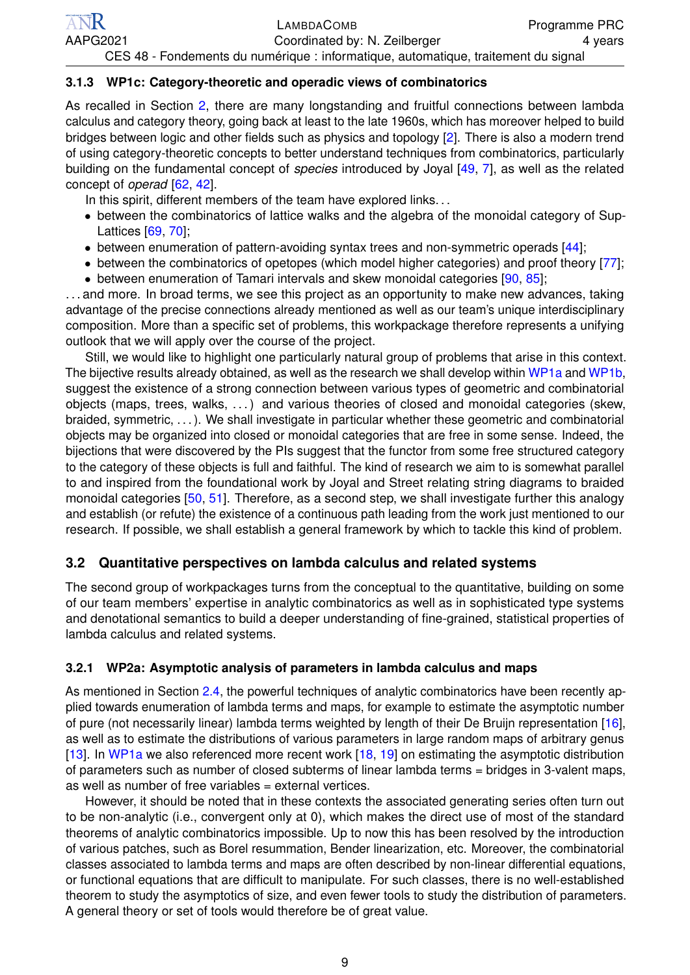#### **3.1.3 WP1c: Category-theoretic and operadic views of combinatorics**

As recalled in Section [2,](#page-1-2) there are many longstanding and fruitful connections between lambda calculus and category theory, going back at least to the late 1960s, which has moreover helped to build bridges between logic and other fields such as physics and topology [\[2\]](#page-10-25). There is also a modern trend of using category-theoretic concepts to better understand techniques from combinatorics, particularly building on the fundamental concept of *species* introduced by Joyal [\[49,](#page-11-7) [7\]](#page-10-26), as well as the related concept of *operad* [\[62,](#page-11-29) [42\]](#page-11-30).

In this spirit, different members of the team have explored links...

- between the combinatorics of lattice walks and the algebra of the monoidal category of Sup-Lattices [\[69,](#page-11-31) [70\]](#page-11-32);
- between enumeration of pattern-avoiding syntax trees and non-symmetric operads [\[44\]](#page-11-33);
- between the combinatorics of opetopes (which model higher categories) and proof theory [\[77\]](#page-11-34);
- between enumeration of Tamari intervals and skew monoidal categories [\[90,](#page-12-2) [85\]](#page-11-35);

. . . and more. In broad terms, we see this project as an opportunity to make new advances, taking advantage of the precise connections already mentioned as well as our team's unique interdisciplinary composition. More than a specific set of problems, this workpackage therefore represents a unifying outlook that we will apply over the course of the project.

Still, we would like to highlight one particularly natural group of problems that arise in this context. The bijective results already obtained, as well as the research we shall develop within [WP1a](#page-4-2) and [WP1b,](#page-5-0) suggest the existence of a strong connection between various types of geometric and combinatorial objects (maps, trees, walks, . . . ) and various theories of closed and monoidal categories (skew, braided, symmetric, . . . ). We shall investigate in particular whether these geometric and combinatorial objects may be organized into closed or monoidal categories that are free in some sense. Indeed, the bijections that were discovered by the PIs suggest that the functor from some free structured category to the category of these objects is full and faithful. The kind of research we aim to is somewhat parallel to and inspired from the foundational work by Joyal and Street relating string diagrams to braided monoidal categories [\[50,](#page-11-18) [51\]](#page-11-19). Therefore, as a second step, we shall investigate further this analogy and establish (or refute) the existence of a continuous path leading from the work just mentioned to our research. If possible, we shall establish a general framework by which to tackle this kind of problem.

### <span id="page-7-0"></span>**3.2 Quantitative perspectives on lambda calculus and related systems**

The second group of workpackages turns from the conceptual to the quantitative, building on some of our team members' expertise in analytic combinatorics as well as in sophisticated type systems and denotational semantics to build a deeper understanding of fine-grained, statistical properties of lambda calculus and related systems.

### <span id="page-7-1"></span>**3.2.1 WP2a: Asymptotic analysis of parameters in lambda calculus and maps**

As mentioned in Section [2.4,](#page-3-0) the powerful techniques of analytic combinatorics have been recently applied towards enumeration of lambda terms and maps, for example to estimate the asymptotic number of pure (not necessarily linear) lambda terms weighted by length of their De Bruijn representation [\[16\]](#page-10-13), as well as to estimate the distributions of various parameters in large random maps of arbitrary genus [\[13\]](#page-10-14). In [WP1a](#page-4-2) we also referenced more recent work [\[18,](#page-10-15) [19\]](#page-10-16) on estimating the asymptotic distribution of parameters such as number of closed subterms of linear lambda terms = bridges in 3-valent maps, as well as number of free variables = external vertices.

However, it should be noted that in these contexts the associated generating series often turn out to be non-analytic (i.e., convergent only at 0), which makes the direct use of most of the standard theorems of analytic combinatorics impossible. Up to now this has been resolved by the introduction of various patches, such as Borel resummation, Bender linearization, etc. Moreover, the combinatorial classes associated to lambda terms and maps are often described by non-linear differential equations, or functional equations that are difficult to manipulate. For such classes, there is no well-established theorem to study the asymptotics of size, and even fewer tools to study the distribution of parameters. A general theory or set of tools would therefore be of great value.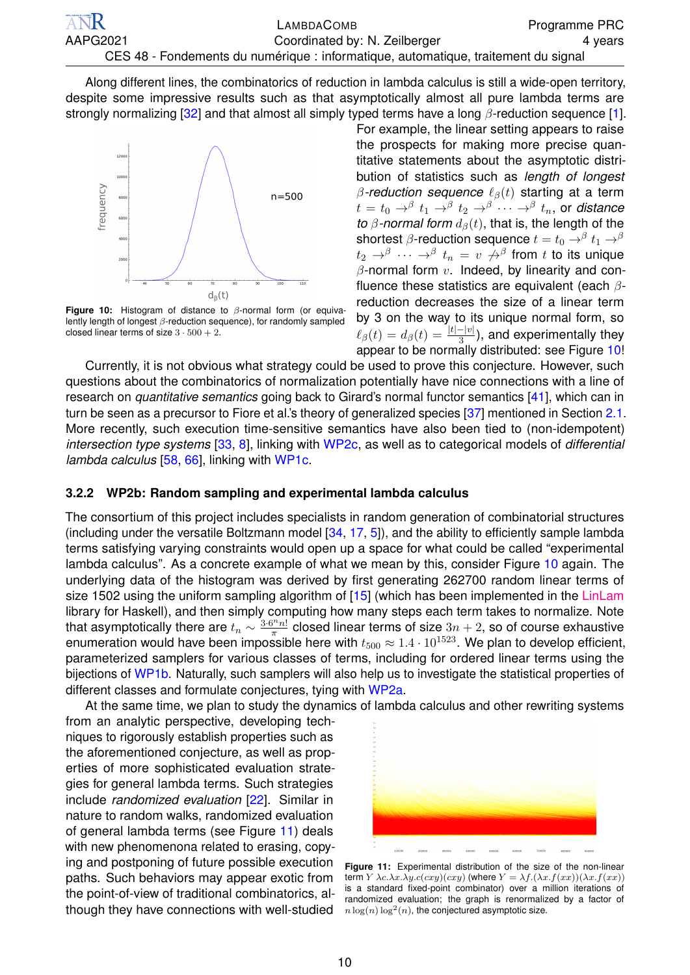Along different lines, the combinatorics of reduction in lambda calculus is still a wide-open territory, despite some impressive results such as that asymptotically almost all pure lambda terms are strongly normalizing [\[32\]](#page-10-27) and that almost all simply typed terms have a long  $\beta$ -reduction sequence [\[1\]](#page-10-28).

<span id="page-8-1"></span>

**Figure 10:** Histogram of distance to β-normal form (or equivalently length of longest β-reduction sequence), for randomly sampled closed linear terms of size  $3 \cdot 500 + 2$ .

For example, the linear setting appears to raise the prospects for making more precise quantitative statements about the asymptotic distribution of statistics such as *length of longest*  $β$ -reduction sequence  $ℓ<sub>β</sub>(t)$  starting at a term  $t\,=\,t_0\,\rightarrow^{\beta}\, t_1\,\rightarrow^{\beta}\, t_2\,\rightarrow^{\beta}\, \cdots\rightarrow^{\beta}\, t_n,$  or distance *to*  $\beta$ -normal form  $d_{\beta}(t)$ , that is, the length of the shortest  $\beta$ -reduction sequence  $t=t_0\rightarrow ^\beta t_1\rightarrow ^\beta$  $t_2 \, \rightarrow^\beta \, \cdots \, \rightarrow^\beta \, t_n \, = \, v \, \not\rightarrow^\beta$  from  $t$  to its unique  $\beta$ -normal form  $v$ . Indeed, by linearity and confluence these statistics are equivalent (each  $\beta$ reduction decreases the size of a linear term by 3 on the way to its unique normal form, so  $\ell_\beta(t) = d_\beta(t) = \frac{|t| - |v|}{3}$ ), and experimentally they appear to be normally distributed: see Figure [10!](#page-8-1)

Currently, it is not obvious what strategy could be used to prove this conjecture. However, such questions about the combinatorics of normalization potentially have nice connections with a line of research on *quantitative semantics* going back to Girard's normal functor semantics [\[41\]](#page-11-36), which can in turn be seen as a precursor to Fiore et al.'s theory of generalized species [\[37\]](#page-10-6) mentioned in Section [2.1.](#page-1-3) More recently, such execution time-sensitive semantics have also been tied to (non-idempotent) *intersection type systems* [\[33,](#page-10-29) [8\]](#page-10-30), linking with [WP2c,](#page-9-0) as well as to categorical models of *differential lambda calculus* [\[58,](#page-11-37) [66\]](#page-11-38), linking with [WP1c.](#page-6-0)

#### <span id="page-8-0"></span>**3.2.2 WP2b: Random sampling and experimental lambda calculus**

The consortium of this project includes specialists in random generation of combinatorial structures (including under the versatile Boltzmann model  $[34, 17, 5]$  $[34, 17, 5]$  $[34, 17, 5]$  $[34, 17, 5]$  $[34, 17, 5]$ ), and the ability to efficiently sample lambda terms satisfying varying constraints would open up a space for what could be called "experimental lambda calculus". As a concrete example of what we mean by this, consider Figure [10](#page-8-1) again. The underlying data of the histogram was derived by first generating 262700 random linear terms of size 1502 using the uniform sampling algorithm of [\[15\]](#page-10-9) (which has been implemented in the [LinLam](https://github.com/noamz/linlam) library for Haskell), and then simply computing how many steps each term takes to normalize. Note that asymptotically there are  $t_n \sim \frac{3 \cdot 6^n n!}{\pi}$  closed linear terms of size  $3n + 2$ , so of course exhaustive enumeration would have been impossible here with  $t_{500} \approx 1.4 \cdot 10^{1523}$ . We plan to develop efficient, parameterized samplers for various classes of terms, including for ordered linear terms using the bijections of [WP1b.](#page-5-0) Naturally, such samplers will also help us to investigate the statistical properties of different classes and formulate conjectures, tying with [WP2a.](#page-7-1)

At the same time, we plan to study the dynamics of lambda calculus and other rewriting systems

from an analytic perspective, developing techniques to rigorously establish properties such as the aforementioned conjecture, as well as properties of more sophisticated evaluation strategies for general lambda terms. Such strategies include *randomized evaluation* [\[22\]](#page-10-34). Similar in nature to random walks, randomized evaluation of general lambda terms (see Figure [11\)](#page-8-2) deals with new phenomenona related to erasing, copying and postponing of future possible execution paths. Such behaviors may appear exotic from the point-of-view of traditional combinatorics, although they have connections with well-studied

<span id="page-8-2"></span>

**Figure 11:** Experimental distribution of the size of the non-linear term  $Y \lambda c.\lambda x.\lambda y.c(cxy)(cxy)$  (where  $Y = \lambda f.(\lambda x.f(xx))(\lambda x.f(xx))$ ) is a standard fixed-point combinator) over a million iterations of randomized evaluation; the graph is renormalized by a factor of  $n \log(n) \log^2(n)$ , the conjectured asymptotic size.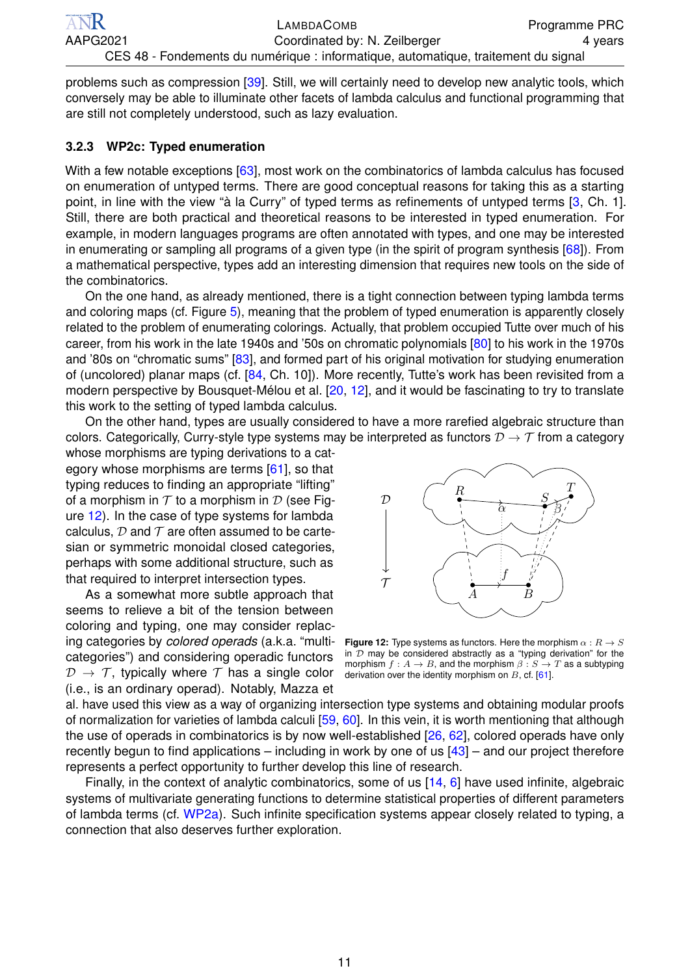problems such as compression [\[39\]](#page-11-39). Still, we will certainly need to develop new analytic tools, which conversely may be able to illuminate other facets of lambda calculus and functional programming that are still not completely understood, such as lazy evaluation.

#### <span id="page-9-0"></span>**3.2.3 WP2c: Typed enumeration**

With a few notable exceptions [\[63\]](#page-11-40), most work on the combinatorics of lambda calculus has focused on enumeration of untyped terms. There are good conceptual reasons for taking this as a starting point, in line with the view "à la Curry" of typed terms as refinements of untyped terms [\[3,](#page-10-4) Ch. 1]. Still, there are both practical and theoretical reasons to be interested in typed enumeration. For example, in modern languages programs are often annotated with types, and one may be interested in enumerating or sampling all programs of a given type (in the spirit of program synthesis [\[68\]](#page-11-41)). From a mathematical perspective, types add an interesting dimension that requires new tools on the side of the combinatorics.

On the one hand, as already mentioned, there is a tight connection between typing lambda terms and coloring maps (cf. Figure [5\)](#page-3-2), meaning that the problem of typed enumeration is apparently closely related to the problem of enumerating colorings. Actually, that problem occupied Tutte over much of his career, from his work in the late 1940s and '50s on chromatic polynomials [\[80\]](#page-11-42) to his work in the 1970s and '80s on "chromatic sums" [\[83\]](#page-11-43), and formed part of his original motivation for studying enumeration of (uncolored) planar maps (cf. [\[84,](#page-11-44) Ch. 10]). More recently, Tutte's work has been revisited from a modern perspective by Bousquet-Mélou et al. [\[20,](#page-10-35) [12\]](#page-10-36), and it would be fascinating to try to translate this work to the setting of typed lambda calculus.

On the other hand, types are usually considered to have a more rarefied algebraic structure than colors. Categorically, Curry-style type systems may be interpreted as functors  $\mathcal{D} \to \mathcal{T}$  from a category

whose morphisms are typing derivations to a cat-egory whose morphisms are terms [\[61\]](#page-11-45), so that typing reduces to finding an appropriate "lifting" of a morphism in  $T$  to a morphism in  $D$  (see Figure [12\)](#page-9-1). In the case of type systems for lambda calculus,  $D$  and  $T$  are often assumed to be cartesian or symmetric monoidal closed categories, perhaps with some additional structure, such as that required to interpret intersection types.

As a somewhat more subtle approach that seems to relieve a bit of the tension between coloring and typing, one may consider replacing categories by *colored operads* (a.k.a. "multicategories") and considering operadic functors  $\mathcal{D} \rightarrow \mathcal{T}$ , typically where  $\mathcal{T}$  has a single color (i.e., is an ordinary operad). Notably, Mazza et

<span id="page-9-1"></span>

**Figure 12:** Type systems as functors. Here the morphism  $\alpha : R \to S$ in  $D$  may be considered abstractly as a "typing derivation" for the morphism  $f: A \rightarrow B$ , and the morphism  $\beta: S \rightarrow T$  as a subtyping derivation over the identity morphism on  $B$ , cf. [\[61\]](#page-11-45).

al. have used this view as a way of organizing intersection type systems and obtaining modular proofs of normalization for varieties of lambda calculi [\[59,](#page-11-46) [60\]](#page-11-47). In this vein, it is worth mentioning that although the use of operads in combinatorics is by now well-established [\[26,](#page-10-37) [62\]](#page-11-29), colored operads have only recently begun to find applications – including in work by one of us  $[43]$  – and our project therefore represents a perfect opportunity to further develop this line of research.

Finally, in the context of analytic combinatorics, some of us [\[14,](#page-10-12) [6\]](#page-10-38) have used infinite, algebraic systems of multivariate generating functions to determine statistical properties of different parameters of lambda terms (cf. [WP2a\)](#page-7-1). Such infinite specification systems appear closely related to typing, a connection that also deserves further exploration.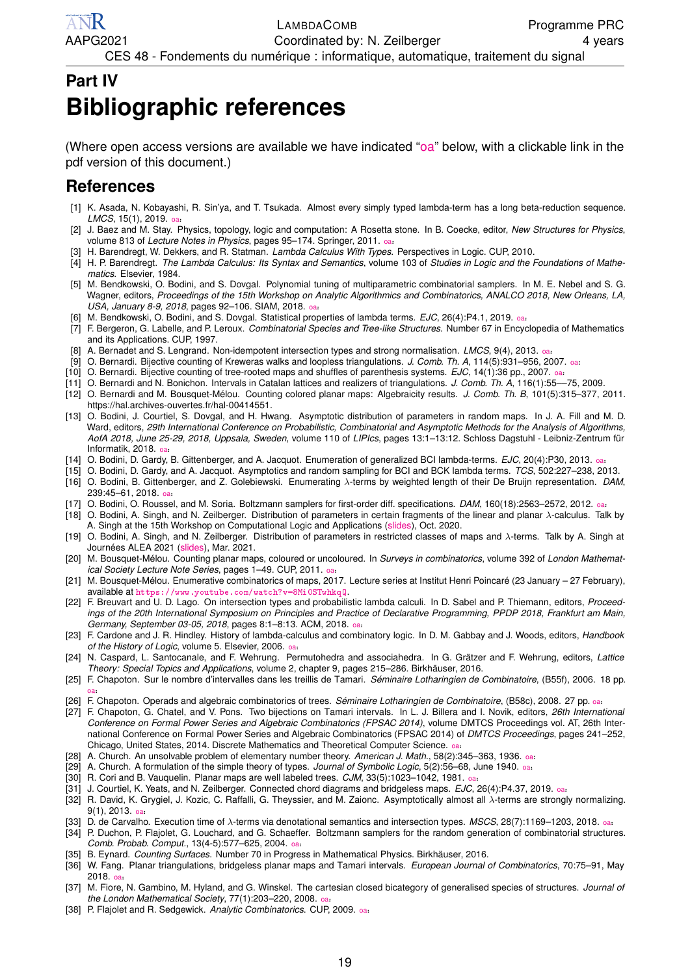# <span id="page-10-0"></span>**Part IV Bibliographic references**

(Where open access versions are available we have indicated ["oa"](http://thisitselfisnotalink.html) below, with a clickable link in the pdf version of this document.)

## **References**

- <span id="page-10-28"></span>[1] K. Asada, N. Kobayashi, R. Sin'ya, and T. Tsukada. Almost every simply typed lambda-term has a long beta-reduction sequence. *LMCS*, 15(1), 2019. [oa](https://arxiv.org/abs/1801.03886v3) .
- <span id="page-10-25"></span>˙ [2] J. Baez and M. Stay. Physics, topology, logic and computation: A Rosetta stone. In B. Coecke, editor, *New Structures for Physics*, volume 813 of *Lecture Notes in Physics*, pages 95–174. Springer, 2011. [oa](https://arxiv.org/abs/0903.0340).<br>
in Prince of the W.P. Lincoln. P. C. Lincoln. Lincoln. Mill T
- <span id="page-10-4"></span>[3] H. Barendregt, W. Dekkers, and R. Statman. *Lambda Calculus With Types*. Perspectives in Logic. CUP, 2010.
- <span id="page-10-5"></span>[4] H. P. Barendregt. *The Lambda Calculus: Its Syntax and Semantics*, volume 103 of *Studies in Logic and the Foundations of Mathematics*. Elsevier, 1984.
- <span id="page-10-33"></span>[5] M. Bendkowski, O. Bodini, and S. Dovgal. Polynomial tuning of multiparametric combinatorial samplers. In M. E. Nebel and S. G. Wagner, editors, *Proceedings of the 15th Workshop on Analytic Algorithmics and Combinatorics, ANALCO 2018, New Orleans, LA,* USA, January 8-9, 2018, pages 92–106. SIAM, 2018. [oa](https://doi.org/10.1137/1.9781611975062.9).
- <span id="page-10-38"></span>[6] M. Bendkowski, O. Bodini, and S. Dovgal. Statistical properties of lambda terms. *EJC*, 26(4):P4.1, 2019. [oa](https://doi.org/10.37236/8491) ˙ .
- <span id="page-10-26"></span>[7] F. Bergeron, G. Labelle, and P. Leroux. *Combinatorial Species and Tree-like Structures*. Number 67 in Encyclopedia of Mathematics and its Applications. CUP, 1997.
- <span id="page-10-30"></span>[8] A. Bernadet and S. Lengrand. Non-idempotent intersection types and strong normalisation. *LMCS*, 9(4), 2013. [oa](https://hal.inria.fr/hal-00906778) ˙ .
- <span id="page-10-18"></span>[9] O. Bernardi. Bijective counting of Kreweras walks and loopless triangulations. *J. Comb. Th. A*, 114(5):931–956, 2007. [oa](https://hal.archives-ouvertes.fr/hal-00068433/document) ˙ .
- <span id="page-10-19"></span>[10] O. Bernardi. Bijective counting of tree-rooted maps and shuffles of parenthesis systems. *EJC*, 14(1):36 pp., 2007. [oa](https://arxiv.org/abs/math/0601684) ˙ .
- <span id="page-10-22"></span>[11] O. Bernardi and N. Bonichon. Intervals in Catalan lattices and realizers of triangulations. *J. Comb. Th. A*, 116(1):55––75, 2009.
- <span id="page-10-36"></span>[12] O. Bernardi and M. Bousquet-Mélou. Counting colored planar maps: Algebraicity results. *J. Comb. Th. B*, 101(5):315–377, 2011. https://hal.archives-ouvertes.fr/hal-00414551.
- <span id="page-10-14"></span>[13] O. Bodini, J. Courtiel, S. Dovgal, and H. Hwang. Asymptotic distribution of parameters in random maps. In J. A. Fill and M. D. Ward, editors, *29th International Conference on Probabilistic, Combinatorial and Asymptotic Methods for the Analysis of Algorithms, AofA 2018, June 25-29, 2018, Uppsala, Sweden*, volume 110 of *LIPIcs*, pages 13:1–13:12. Schloss Dagstuhl - Leibniz-Zentrum für Informatik, 2018. [oa](https://hal.archives-ouvertes.fr/hal-01900814/) .
- <span id="page-10-12"></span>˙ [14] O. Bodini, D. Gardy, B. Gittenberger, and A. Jacquot. Enumeration of generalized BCI lambda-terms. *EJC*, 20(4):P30, 2013. [oa](https://doi.org/10.37236/3051) .
- <span id="page-10-9"></span>˙ [15] O. Bodini, D. Gardy, and A. Jacquot. Asymptotics and random sampling for BCI and BCK lambda terms. *TCS*, 502:227–238, 2013.
- <span id="page-10-13"></span>[16] O. Bodini, B. Gittenberger, and Z. Golebiewski. Enumerating λ-terms by weighted length of their De Bruijn representation. *DAM*, 239:45–61, 2018. [oa](https://dmg.tuwien.ac.at/bgitten/preprints/DeBruijn.pdf) .
- <span id="page-10-32"></span>˙ [17] O. Bodini, O. Roussel, and M. Soria. Boltzmann samplers for first-order diff. specifications. *DAM*, 160(18):2563–2572, 2012. [oa](https://hal.archives-ouvertes.fr/hal-00641072/document) ˙ .
- <span id="page-10-15"></span>[18] O. Bodini, A. Singh, and N. Zeilberger. Distribution of parameters in certain fragments of the linear and planar λ-calculus. Talk by A. Singh at the 15th Workshop on Computational Logic and Applications [\(slides\)](https://cla.tcs.uj.edu.pl/pdfs/CLA_slides_Bodini-Singh-Zeilberger.pdf), Oct. 2020.
- <span id="page-10-16"></span>[19] O. Bodini, A. Singh, and N. Zeilberger. Distribution of parameters in restricted classes of maps and λ-terms. Talk by A. Singh at Journées ALEA 2021 [\(slides\)](http://gt-alea.math.cnrs.fr/alea2021/singh.pdf), Mar. 2021.
- <span id="page-10-35"></span>[20] M. Bousquet-Mélou. Counting planar maps, coloured or uncoloured. In *Surveys in combinatorics*, volume 392 of *London Mathematical Society Lecture Note Series*, pages 1–49. CUP, 2011. [oa](https://hal.archives-ouvertes.fr/hal-00653963/) ˙ .
- <span id="page-10-7"></span>[21] M. Bousquet-Mélou. Enumerative combinatorics of maps, 2017. Lecture series at Institut Henri Poincaré (23 January – 27 February), available at <https://www.youtube.com/watch?v=8Mi0STwhkqQ>.
- <span id="page-10-34"></span>[22] F. Breuvart and U. D. Lago. On intersection types and probabilistic lambda calculi. In D. Sabel and P. Thiemann, editors, *Proceedings of the 20th International Symposium on Principles and Practice of Declarative Programming, PPDP 2018, Frankfurt am Main,* Germany, September 03-05, 2018, pages 8:1–8:13. ACM, 2018. [oa](https://hal.archives-ouvertes.fr/hal-01926420/).
- <span id="page-10-1"></span>[23] F. Cardone and J. R. Hindley. History of lambda-calculus and combinatory logic. In D. M. Gabbay and J. Woods, editors, *Handbook of the History of Logic*, volume 5. Elsevier, 2006. [oa](http://www.users.waitrose.com/~hindley/SomePapers_PDFs/2006CarHin,HistlamRp.pdf) .
- <span id="page-10-20"></span>˙ [24] N. Caspard, L. Santocanale, and F. Wehrung. Permutohedra and associahedra. In G. Grätzer and F. Wehrung, editors, *Lattice Theory: Special Topics and Applications*, volume 2, chapter 9, pages 215–286. Birkhäuser, 2016.
- <span id="page-10-21"></span>[25] F. Chapoton. Sur le nombre d'intervalles dans les treillis de Tamari. *Séminaire Lotharingien de Combinatoire*, (B55f), 2006. 18 pp. [oa](https://hal.archives-ouvertes.fr/hal-00019167) .
- <span id="page-10-37"></span>rea] F. Chapoton. Operads and algebraic combinatorics of trees. *Séminaire Lotharingien de Combinatoire*, (B58c), 2008. 27 pp. [oa](https://eudml.org/doc/227963).<br> **[26]** F. Chapoton. Operads and algebraic combinatorics of trees. *Séminaire Lotharingien*
- <span id="page-10-24"></span>[27] F. Chapoton, G. Chatel, and V. Pons. Two bijections on Tamari intervals. In L. J. Billera and I. Novik, editors, *26th International Conference on Formal Power Series and Algebraic Combinatorics (FPSAC 2014)*, volume DMTCS Proceedings vol. AT, 26th International Conference on Formal Power Series and Algebraic Combinatorics (FPSAC 2014) of *DMTCS Proceedings*, pages 241–252, Chicago, United States, 2014. Discrete Mathematics and Theoretical Computer Science. [oa](https://hal.inria.fr/hal-01207596/).
- <span id="page-10-2"></span>[28] A. Church. An unsolvable problem of elementary number theory. *American J. Math.*, 58(2):345–363, 1936. [oa](https://www.jstor.org/stable/2371045?seq=1) ˙ .
- <span id="page-10-3"></span>[29] A. Church. A formulation of the simple theory of types. *Journal of Symbolic Logic*, 5(2):56–68, June 1940. [oa](https://www.jstor.org/stable/2266170):<br><sup>Foot</sup> B. Curi and B. Vannualia. Plansmasse argumul labeled types. *O.W. 99/5*, 4999, 4949, 4994.
- <span id="page-10-17"></span>[30] R. Cori and B. Vauquelin. Planar maps are well labeled trees. *CJM*, 33(5):1023–1042, 1981. [oa](https://doi.org/10.4153/CJM-1981-078-2) ˙ .
- <span id="page-10-10"></span>[31] J. Courtiel, K. Yeats, and N. Zeilberger. Connected chord diagrams and bridgeless maps. *EJC*, 26(4):P4.37, 2019. [oa](https://doi.org/10.37236/7400) ˙ .
- <span id="page-10-27"></span>[32] R. David, K. Grygiel, J. Kozic, C. Raffalli, G. Theyssier, and M. Zaionc. Asymptotically almost all λ-terms are strongly normalizing. 9(1), 2013. [oa](https://hal.archives-ouvertes.fr/hal-00372035v3/):<br>D
- <span id="page-10-29"></span>[33] D. de Carvalho. Execution time of λ-terms via denotational semantics and intersection types. *MSCS*, 28(7):1169–1203, 2018. [oa](https://arxiv.org/abs/0905.4251).<br>
<sub>ε</sub> ε τον συμβουμένου στη συμβουμένο στη συμβουμένη στη συμβουμένη της συμβουμένης της
- <span id="page-10-31"></span>[34] P. Duchon, P. Flajolet, G. Louchard, and G. Schaeffer. Boltzmann samplers for the random generation of combinatorial structures. *Comb. Probab. Comput.*, 13(4-5):577–625, 2004. [oa](http://algo.inria.fr/flajolet/Publications/DuFlLoSc04.pdf) .
- <span id="page-10-8"></span>˙ [35] B. Eynard. *Counting Surfaces*. Number 70 in Progress in Mathematical Physics. Birkhäuser, 2016.
- <span id="page-10-23"></span>[36] W. Fang. Planar triangulations, bridgeless planar maps and Tamari intervals. *European Journal of Combinatorics*, 70:75–91, May 2018. [oa](https://arxiv.org/abs/1611.07922) .
- <span id="page-10-6"></span>˙ [37] M. Fiore, N. Gambino, M. Hyland, and G. Winskel. The cartesian closed bicategory of generalised species of structures. *Journal of the London Mathematical Society*, 77(1):203–220, 2008. [oa](https://www.cs.le.ac.uk/people/ngambino/Publications/generalised-species.pdf) .
- <span id="page-10-11"></span>ne London Mathematical Society, 71(1).203–220, 2006. [oa](http://algo.inria.fr/flajolet/Publications/AnaCombi/anacombi.html):<br>[38] P. Flajolet and R. Sedgewick. *Analytic Combinatorics*. CUP, 2009. oa: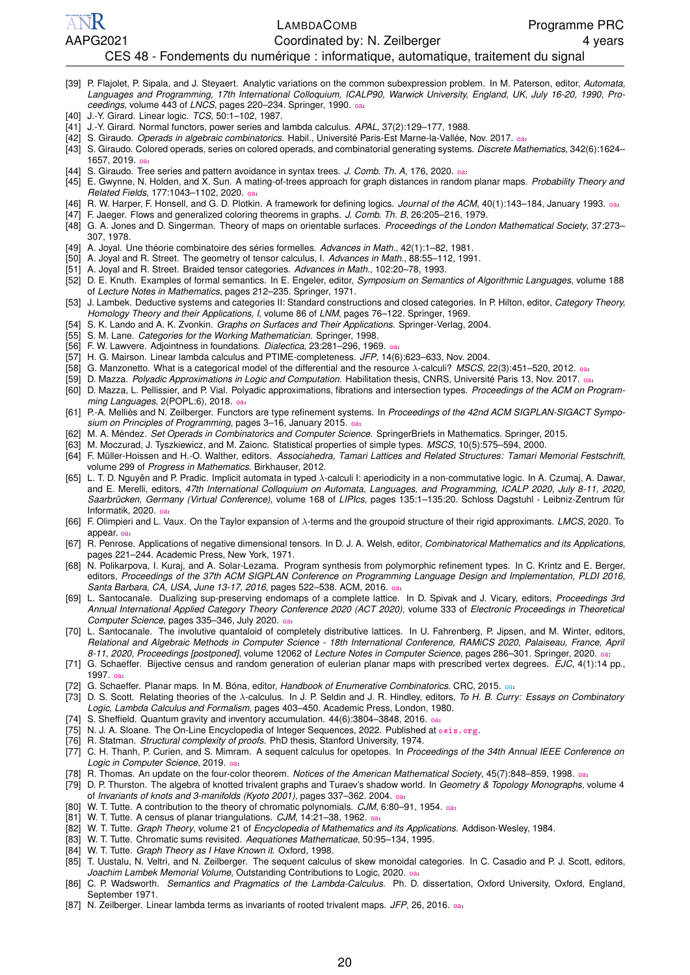LAMBDACOMB Programme PRC AAPG2021 **Coordinated by: N. Zeilberger** 4 years 4 years

#### CES 48 - Fondements du numérique : informatique, automatique, traitement du signal

- <span id="page-11-39"></span>[39] P. Flajolet, P. Sipala, and J. Steyaert. Analytic variations on the common subexpression problem. In M. Paterson, editor, *Automata, Languages and Programming, 17th International Colloquium, ICALP90, Warwick University, England, UK, July 16-20, 1990, Proceedings*, volume 443 of *LNCS*, pages 220–234. Springer, 1990. [oa](https://hal.inria.fr/inria-00075348/) ˙ .
- <span id="page-11-4"></span>[40] J.-Y. Girard. Linear logic. *TCS*, 50:1–102, 1987.

ANR

- <span id="page-11-36"></span>[41] J.-Y. Girard. Normal functors, power series and lambda calculus. *APAL*, 37(2):129–177, 1988.
- <span id="page-11-30"></span>[42] S. Giraudo. *Operads in algebraic combinatorics*. Habil., Université Paris-Est Marne-la-Vallée, Nov. 2017. [oa](https://arxiv.org/abs/1712.03782) ˙ .
- <span id="page-11-48"></span>[43] S. Giraudo. Colored operads, series on colored operads, and combinatorial generating systems. *Discrete Mathematics*, 342(6):1624– 1657, 2019. [oa](https://arxiv.org/abs/1605.04697) .
- <span id="page-11-33"></span>˙ [44] S. Giraudo. Tree series and pattern avoidance in syntax trees. *J. Comb. Th. A*, 176, 2020. [oa](https://arxiv.org/abs/1903.00677) ˙ .
- <span id="page-11-27"></span>[45] E. Gwynne, N. Holden, and X. Sun. A mating-of-trees approach for graph distances in random planar maps. *Probability Theory and Related Fields*, 177:1043–1102, 2020. [oa](https://arxiv.org/abs/1711.00723) ˙ .
- <span id="page-11-20"></span>[46] R. W. Harper, F. Honsell, and G. D. Plotkin. A framework for defining logics. *Journal of the ACM*, 40(1):143–184, January 1993. [oa](https://homepages.inf.ed.ac.uk/gdp/publications/Framework_Def_Log.pdf):<br>[47] F. January Eleves and sensedicated schools the sensedic massles of Quarter The
- <span id="page-11-22"></span>[47] F. Jaeger. Flows and generalized coloring theorems in graphs. *J. Comb. Th. B*, 26:205–216, 1979.
- <span id="page-11-9"></span>[48] G. A. Jones and D. Singerman. Theory of maps on orientable surfaces. *Proceedings of the London Mathematical Society*, 37:273– 307, 1978.
- <span id="page-11-7"></span>[49] A. Joyal. Une théorie combinatoire des séries formelles. *Advances in Math.*, 42(1):1–82, 1981.
- <span id="page-11-18"></span>[50] A. Joyal and R. Street. The geometry of tensor calculus, I. *Advances in Math.*, 88:55–112, 1991.
- <span id="page-11-19"></span>[51] A. Joyal and R. Street. Braided tensor categories. *Advances in Math.*, 102:20–78, 1993.
- <span id="page-11-14"></span>[52] D. E. Knuth. Examples of formal semantics. In E. Engeler, editor, *Symposium on Semantics of Algorithmic Languages*, volume 188 of *Lecture Notes in Mathematics*, pages 212–235. Springer, 1971.
- <span id="page-11-2"></span>[53] J. Lambek. Deductive systems and categories II: Standard constructions and closed categories. In P. Hilton, editor, *Category Theory, Homology Theory and their Applications, I*, volume 86 of *LNM*, pages 76–122. Springer, 1969.
- <span id="page-11-8"></span>[54] S. K. Lando and A. K. Zvonkin. *Graphs on Surfaces and Their Applications*. Springer-Verlag, 2004.
- <span id="page-11-6"></span>[55] S. M. Lane. *Categories for the Working Mathematician*. Springer, 1998.
- <span id="page-11-1"></span>[56] F. W. Lawvere. Adjointness in foundations. *Dialectica*, 23:281–296, 1969. [oa](https://www.jstor.org/stable/42969800) ˙ .
- <span id="page-11-5"></span>[57] H. G. Mairson. Linear lambda calculus and PTIME-completeness. *JFP*, 14(6):623–633, Nov. 2004.
- <span id="page-11-37"></span>[58] G. Manzonetto. What is a categorical model of the differential and the resource λ-calculi? *MSCS*, 22(3):451–520, 2012. [oa](https://arxiv.org/abs/1011.2307) ˙ .
- <span id="page-11-46"></span>[59] D. Mazza. *Polyadic Approximations in Logic and Computation*. Habilitation thesis, CNRS, Université Paris 13, Nov. 2017. [oa](https://lipn.univ-paris13.fr/~mazza/papers/Habilitation.pdf) .
- <span id="page-11-47"></span>[39] D. Mazza. *Polyadic Approximations in Logic and Computation*. Habilitation thesis, CrimS, Oniversite Paris 15, Nov. 2017. ea:<br>[60] D. Mazza, L. Pellissier, and P. Vial. Polyadic approximations, fibrations and intersec *ming Languages*, 2(POPL:6), 2018. [oa](https://www-lipn.univ-paris13.fr/~mazza/papers/IntersectionTypes.pdf) ˙ .
- <span id="page-11-45"></span>[61] P.-A. Melliès and N. Zeilberger. Functors are type refinement systems. In *Proceedings of the 42nd ACM SIGPLAN-SIGACT Symposium on Principles of Programming*, pages 3–16, January 2015. [oa](http://noamz.org/papers/funts.pdf) ˙ .
- <span id="page-11-29"></span>[62] M. A. Méndez. *Set Operads in Combinatorics and Computer Science*. SpringerBriefs in Mathematics. Springer, 2015.
- <span id="page-11-40"></span>[63] M. Moczurad, J. Tyszkiewicz, and M. Zaionc. Statistical properties of simple types. *MSCS*, 10(5):575–594, 2000.
- <span id="page-11-28"></span>[64] F. Müller-Hoissen and H.-O. Walther, editors. *Associahedra, Tamari Lattices and Related Structures: Tamari Memorial Festschrift*, volume 299 of *Progress in Mathematics*. Birkhauser, 2012.
- <span id="page-11-24"></span>[65] L. T. D. Nguyên and P. Pradic. Implicit automata in typed λ-calculi I: aperiodicity in a non-commutative logic. In A. Czumaj, A. Dawar, and E. Merelli, editors, *47th International Colloquium on Automata, Languages, and Programming, ICALP 2020, July 8-11, 2020, Saarbrücken, Germany (Virtual Conference)*, volume 168 of *LIPIcs*, pages 135:1–135:20. Schloss Dagstuhl - Leibniz-Zentrum für Informatik, 2020. [oa](https://hal.archives-ouvertes.fr/hal-02476219/) ˙ .
- <span id="page-11-38"></span>[66] F. Olimpieri and L. Vaux. On the Taylor expansion of λ-terms and the groupoid structure of their rigid approximants. *LMCS*, 2020. To appear. [oa](https://arxiv.org/abs/2008.02665):<br>F
- <span id="page-11-17"></span>[67] R. Penrose. Applications of negative dimensional tensors. In D. J. A. Welsh, editor, *Combinatorical Mathematics and its Applications*, pages 221–244. Academic Press, New York, 1971.
- <span id="page-11-41"></span>[68] N. Polikarpova, I. Kuraj, and A. Solar-Lezama. Program synthesis from polymorphic refinement types. In C. Krintz and E. Berger, editors, *Proceedings of the 37th ACM SIGPLAN Conference on Programming Language Design and Implementation, PLDI 2016,* Santa Barbara, CA, USA, June 13-17, 2016, pages 522–538. ACM, 2016. [oa](https://doi.org/10.1145/2908080.2908093).<br>.
- <span id="page-11-31"></span>[69] L. Santocanale. Dualizing sup-preserving endomaps of a complete lattice. In D. Spivak and J. Vicary, editors, *Proceedings 3rd Annual International Applied Category Theory Conference 2020 (ACT 2020)*, volume 333 of *Electronic Proceedings in Theoretical Computer Science*, pages 335–346, July 2020. [oa](https://hal.archives-ouvertes.fr/hal-02901445/document) ˙ .
- <span id="page-11-32"></span>[70] L. Santocanale. The involutive quantaloid of completely distributive lattices. In U. Fahrenberg, P. Jipsen, and M. Winter, editors, *Relational and Algebraic Methods in Computer Science - 18th International Conference, RAMiCS 2020, Palaiseau, France, April 8-11, 2020, Proceedings [postponed]*, volume 12062 of *Lecture Notes in Computer Science*, pages 286–301. Springer, 2020. [oa](https://hal.archives-ouvertes.fr/hal-02342655/) ˙ .
- <span id="page-11-25"></span>[71] G. Schaeffer. Bijective census and random generation of eulerian planar maps with prescribed vertex degrees. *EJC*, 4(1):14 pp., 1997. [oa](https://doi.org/10.37236/1305) .
- <span id="page-11-12"></span>˙ [72] G. Schaeffer. Planar maps. In M. Bóna, editor, *Handbook of Enumerative Combinatorics*. CRC, 2015. [oa](#page-0-0) ˙ .
- <span id="page-11-3"></span>[73] D. S. Scott. Relating theories of the λ-calculus. In J. P. Seldin and J. R. Hindley, editors, *To H. B. Curry: Essays on Combinatory Logic, Lambda Calculus and Formalism*, pages 403–450. Academic Press, London, 1980.
- <span id="page-11-26"></span>[74] S. Sheffield. Quantum gravity and inventory accumulation. 44(6):3804–3848, 2016. [oa](https://doi.org/10.1214/15-AOP1061) ˙ .
- <span id="page-11-0"></span>[75] N. J. A. Sloane. The On-Line Encyclopedia of Integer Sequences, 2022. Published at <oeis.org>.
- <span id="page-11-16"></span>[76] R. Statman. *Structural complexity of proofs*. PhD thesis, Stanford University, 1974.
- <span id="page-11-34"></span>[77] C. H. Thanh, P. Curien, and S. Mimram. A sequent calculus for opetopes. In *Proceedings of the 34th Annual IEEE Conference on Logic in Computer Science*, 2019. [oa](https://hal.archives-ouvertes.fr/hal-02406569) ˙ .
- <span id="page-11-10"></span>[78] R. Thomas. An update on the four-color theorem. *Notices of the American Mathematical Society*, 45(7):848–859, 1998. [oa](https://www.ams.org/notices/199807/thomas.pdf):<br>
in a complete of the color of the color theorem. In the color of the American Mathematical Soci
- <span id="page-11-23"></span>[79] D. P. Thurston. The algebra of knotted trivalent graphs and Turaev's shadow world. In *Geometry & Topology Monographs*, volume 4 of *Invariants of knots and 3-manifolds (Kyoto 2001)*, pages 337–362. 2004. [oa](https://arxiv.org/abs/math/0311458):<br>
in F.F. .
- <span id="page-11-42"></span>[80] W. T. Tutte. A contribution to the theory of chromatic polynomials. *CJM*, 6:80–91, 1954. [oa](https://doi.org/10.4153/CJM-1954-010-9).<br> **in the contribution**
- <span id="page-11-11"></span>[81] W. T. Tutte. A census of planar triangulations. *CJM*, 14:21–38, 1962. [oa](https://doi.org/10.4153/CJM-1962-002-9).
- <span id="page-11-21"></span>[82] W. T. Tutte. *Graph Theory*, volume 21 of *Encyclopedia of Mathematics and its Applications*. Addison-Wesley, 1984.
- <span id="page-11-43"></span>[83] W. T. Tutte. Chromatic sums revisited. *Aequationes Mathematicae*, 50:95–134, 1995.
- <span id="page-11-44"></span>[84] W. T. Tutte. *Graph Theory as I Have Known it*. Oxford, 1998.
- <span id="page-11-35"></span>[85] T. Uustalu, N. Veltri, and N. Zeilberger. The sequent calculus of skew monoidal categories. In C. Casadio and P. J. Scott, editors, *Joachim Lambek Memorial Volume*, Outstanding Contributions to Logic, 2020. [oa](https://arxiv.org/abs/2003.05213) .
- <span id="page-11-15"></span>˙ [86] C. P. Wadsworth. *Semantics and Pragmatics of the Lambda-Calculus*. Ph. D. dissertation, Oxford University, Oxford, England, September 1971.
- <span id="page-11-13"></span>[87] N. Zeilberger. Linear lambda terms as invariants of rooted trivalent maps. *JFP*, 26, 2016. [oa](https://arxiv.org/abs/1512.06751):